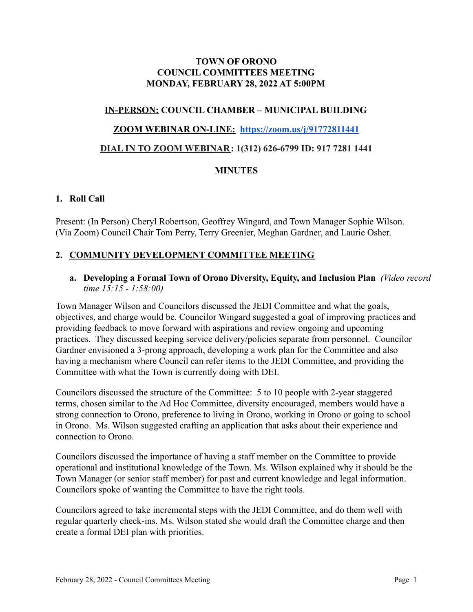# **TOWN OF ORONO COUNCIL COMMITTEES MEETING MONDAY, FEBRUARY 28, 2022 AT 5:00PM**

# **IN-PERSON: COUNCIL CHAMBER – MUNICIPAL BUILDING**

### **ZOOM WEBINAR ON-LINE: <https://zoom.us/j/91772811441>**

## **DIAL IN TO ZOOM WEBINAR: 1(312) 626-6799 ID: 917 7281 1441**

### **MINUTES**

#### **1. Roll Call**

Present: (In Person) Cheryl Robertson, Geoffrey Wingard, and Town Manager Sophie Wilson. (Via Zoom) Council Chair Tom Perry, Terry Greenier, Meghan Gardner, and Laurie Osher.

# **2. COMMUNITY DEVELOPMENT COMMITTEE MEETING**

### **a. Developing a Formal Town of Orono Diversity, Equity, and Inclusion Plan** *(Video record time 15:15 - 1:58:00)*

Town Manager Wilson and Councilors discussed the JEDI Committee and what the goals, objectives, and charge would be. Councilor Wingard suggested a goal of improving practices and providing feedback to move forward with aspirations and review ongoing and upcoming practices. They discussed keeping service delivery/policies separate from personnel. Councilor Gardner envisioned a 3-prong approach, developing a work plan for the Committee and also having a mechanism where Council can refer items to the JEDI Committee, and providing the Committee with what the Town is currently doing with DEI.

Councilors discussed the structure of the Committee: 5 to 10 people with 2-year staggered terms, chosen similar to the Ad Hoc Committee, diversity encouraged, members would have a strong connection to Orono, preference to living in Orono, working in Orono or going to school in Orono. Ms. Wilson suggested crafting an application that asks about their experience and connection to Orono.

Councilors discussed the importance of having a staff member on the Committee to provide operational and institutional knowledge of the Town. Ms. Wilson explained why it should be the Town Manager (or senior staff member) for past and current knowledge and legal information. Councilors spoke of wanting the Committee to have the right tools.

Councilors agreed to take incremental steps with the JEDI Committee, and do them well with regular quarterly check-ins. Ms. Wilson stated she would draft the Committee charge and then create a formal DEI plan with priorities.